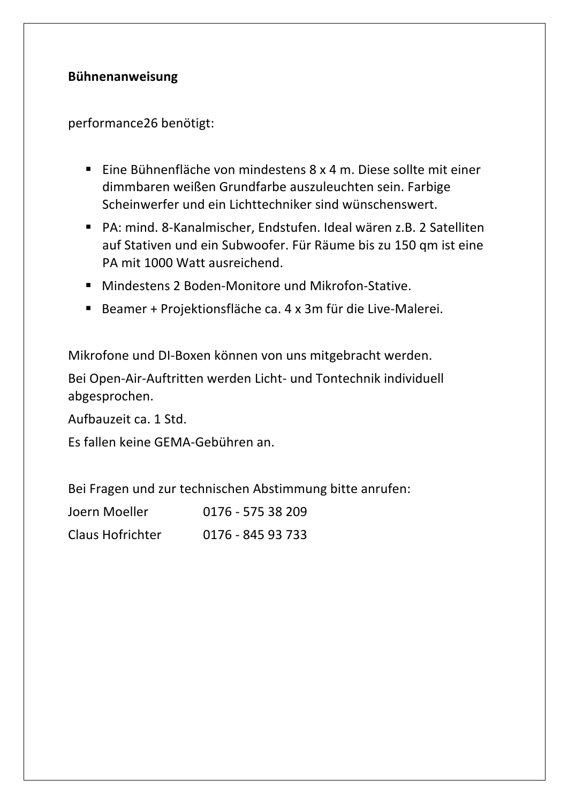## **Bühnenanweisung**

performance26 benötigt: 

- Eine Bühnenfläche von mindestens  $8 \times 4$  m. Diese sollte mit einer dimmbaren weißen Grundfarbe auszuleuchten sein. Farbige Scheinwerfer und ein Lichttechniker sind wünschenswert.
- PA: mind. 8-Kanalmischer, Endstufen. Ideal wären z.B. 2 Satelliten auf Stativen und ein Subwoofer. Für Räume bis zu 150 qm ist eine PA mit 1000 Watt ausreichend.
- Mindestens 2 Boden-Monitore und Mikrofon-Stative.
- Beamer + Projektionsfläche ca. 4 x 3m für die Live-Malerei.

Mikrofone und DI-Boxen können von uns mitgebracht werden.

Bei Open-Air-Auftritten werden Licht- und Tontechnik individuell abgesprochen. 

Aufbauzeit ca. 1 Std.

Es fallen keine GEMA-Gebühren an.

Bei Fragen und zur technischen Abstimmung bitte anrufen:

| Joern Moeller    | 0176 - 575 38 209 |
|------------------|-------------------|
| Claus Hofrichter | 0176 - 845 93 733 |